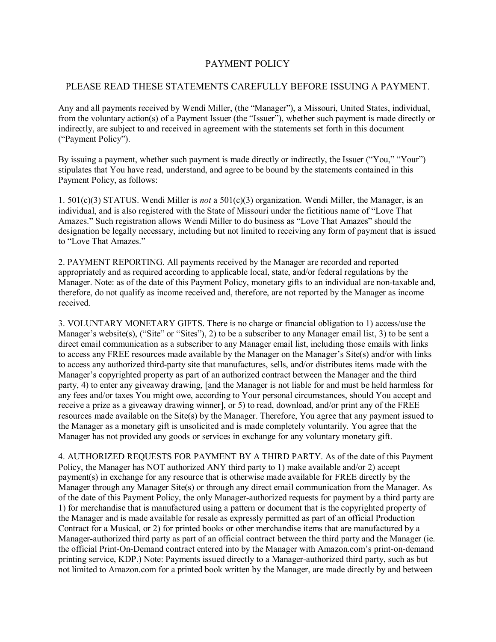## PAYMENT POLICY

## PLEASE READ THESE STATEMENTS CAREFULLY BEFORE ISSUING A PAYMENT.

Any and all payments received by Wendi Miller, (the "Manager"), a Missouri, United States, individual, from the voluntary action(s) of a Payment Issuer (the "Issuer"), whether such payment is made directly or indirectly, are subject to and received in agreement with the statements set forth in this document ("Payment Policy").

By issuing a payment, whether such payment is made directly or indirectly, the Issuer ("You," "Your") stipulates that You have read, understand, and agree to be bound by the statements contained in this Payment Policy, as follows:

1. 501(c)(3) STATUS. Wendi Miller is *not* a 501(c)(3) organization. Wendi Miller, the Manager, is an individual, and is also registered with the State of Missouri under the fictitious name of "Love That Amazes." Such registration allows Wendi Miller to do business as "Love That Amazes" should the designation be legally necessary, including but not limited to receiving any form of payment that is issued to "Love That Amazes."

2. PAYMENT REPORTING. All payments received by the Manager are recorded and reported appropriately and as required according to applicable local, state, and/or federal regulations by the Manager. Note: as of the date of this Payment Policy, monetary gifts to an individual are non-taxable and, therefore, do not qualify as income received and, therefore, are not reported by the Manager as income received.

3. VOLUNTARY MONETARY GIFTS. There is no charge or financial obligation to 1) access/use the Manager's website(s), ("Site" or "Sites"), 2) to be a subscriber to any Manager email list, 3) to be sent a direct email communication as a subscriber to any Manager email list, including those emails with links to access any FREE resources made available by the Manager on the Manager's Site(s) and/or with links to access any authorized third-party site that manufactures, sells, and/or distributes items made with the Manager's copyrighted property as part of an authorized contract between the Manager and the third party, 4) to enter any giveaway drawing, [and the Manager is not liable for and must be held harmless for any fees and/or taxes You might owe, according to Your personal circumstances, should You accept and receive a prize as a giveaway drawing winner], or 5) to read, download, and/or print any of the FREE resources made available on the Site(s) by the Manager. Therefore, You agree that any payment issued to the Manager as a monetary gift is unsolicited and is made completely voluntarily. You agree that the Manager has not provided any goods or services in exchange for any voluntary monetary gift.

4. AUTHORIZED REQUESTS FOR PAYMENT BY A THIRD PARTY. As of the date of this Payment Policy, the Manager has NOT authorized ANY third party to 1) make available and/or 2) accept payment(s) in exchange for any resource that is otherwise made available for FREE directly by the Manager through any Manager Site(s) or through any direct email communication from the Manager. As of the date of this Payment Policy, the only Manager-authorized requests for payment by a third party are 1) for merchandise that is manufactured using a pattern or document that is the copyrighted property of the Manager and is made available for resale as expressly permitted as part of an official Production Contract for a Musical, or 2) for printed books or other merchandise items that are manufactured by a Manager-authorized third party as part of an official contract between the third party and the Manager (ie. the official Print-On-Demand contract entered into by the Manager with Amazon.com's print-on-demand printing service, KDP.) Note: Payments issued directly to a Manager-authorized third party, such as but not limited to Amazon.com for a printed book written by the Manager, are made directly by and between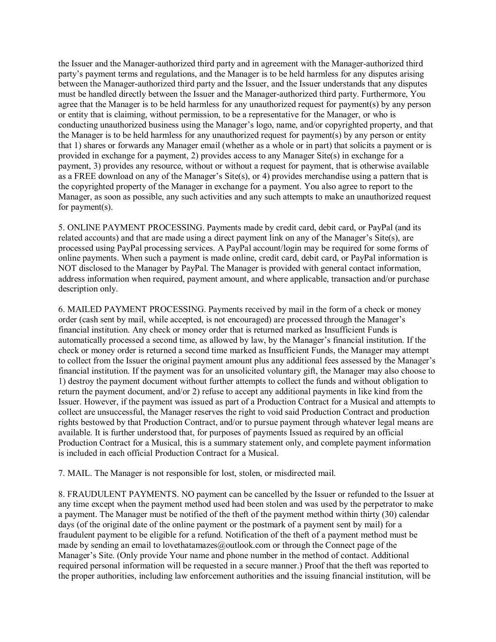the Issuer and the Manager-authorized third party and in agreement with the Manager-authorized third party's payment terms and regulations, and the Manager is to be held harmless for any disputes arising between the Manager-authorized third party and the Issuer, and the Issuer understands that any disputes must be handled directly between the Issuer and the Manager-authorized third party. Furthermore, You agree that the Manager is to be held harmless for any unauthorized request for payment(s) by any person or entity that is claiming, without permission, to be a representative for the Manager, or who is conducting unauthorized business using the Manager's logo, name, and/or copyrighted property, and that the Manager is to be held harmless for any unauthorized request for payment(s) by any person or entity that 1) shares or forwards any Manager email (whether as a whole or in part) that solicits a payment or is provided in exchange for a payment, 2) provides access to any Manager Site(s) in exchange for a payment, 3) provides any resource, without or without a request for payment, that is otherwise available as a FREE download on any of the Manager's Site(s), or 4) provides merchandise using a pattern that is the copyrighted property of the Manager in exchange for a payment. You also agree to report to the Manager, as soon as possible, any such activities and any such attempts to make an unauthorized request for payment(s).

5. ONLINE PAYMENT PROCESSING. Payments made by credit card, debit card, or PayPal (and its related accounts) and that are made using a direct payment link on any of the Manager's Site(s), are processed using PayPal processing services. A PayPal account/login may be required for some forms of online payments. When such a payment is made online, credit card, debit card, or PayPal information is NOT disclosed to the Manager by PayPal. The Manager is provided with general contact information, address information when required, payment amount, and where applicable, transaction and/or purchase description only.

6. MAILED PAYMENT PROCESSING. Payments received by mail in the form of a check or money order (cash sent by mail, while accepted, is not encouraged) are processed through the Manager's financial institution. Any check or money order that is returned marked as Insufficient Funds is automatically processed a second time, as allowed by law, by the Manager's financial institution. If the check or money order is returned a second time marked as Insufficient Funds, the Manager may attempt to collect from the Issuer the original payment amount plus any additional fees assessed by the Manager's financial institution. If the payment was for an unsolicited voluntary gift, the Manager may also choose to 1) destroy the payment document without further attempts to collect the funds and without obligation to return the payment document, and/or 2) refuse to accept any additional payments in like kind from the Issuer. However, if the payment was issued as part of a Production Contract for a Musical and attempts to collect are unsuccessful, the Manager reserves the right to void said Production Contract and production rights bestowed by that Production Contract, and/or to pursue payment through whatever legal means are available. It is further understood that, for purposes of payments Issued as required by an official Production Contract for a Musical, this is a summary statement only, and complete payment information is included in each official Production Contract for a Musical.

7. MAIL. The Manager is not responsible for lost, stolen, or misdirected mail.

8. FRAUDULENT PAYMENTS. NO payment can be cancelled by the Issuer or refunded to the Issuer at any time except when the payment method used had been stolen and was used by the perpetrator to make a payment. The Manager must be notified of the theft of the payment method within thirty (30) calendar days (of the original date of the online payment or the postmark of a payment sent by mail) for a fraudulent payment to be eligible for a refund. Notification of the theft of a payment method must be made by sending an email to lovethatamazes@outlook.com or through the Connect page of the Manager's Site. (Only provide Your name and phone number in the method of contact. Additional required personal information will be requested in a secure manner.) Proof that the theft was reported to the proper authorities, including law enforcement authorities and the issuing financial institution, will be